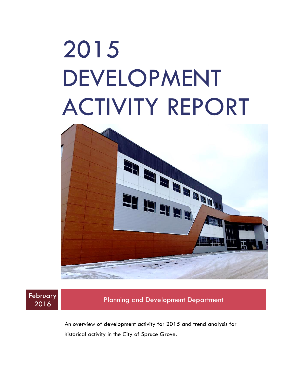# 2015 DEVELOPMENT ACTIVITY REPORT





<sup>2016</sup> Planning and Development Department

An overview of development activity for 2015 and trend analysis for historical activity in the City of Spruce Grove.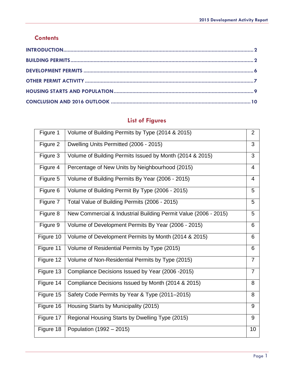#### **Contents**

# **List of Figures**

| Figure 1  | Volume of Building Permits by Type (2014 & 2015)                | $\overline{2}$ |
|-----------|-----------------------------------------------------------------|----------------|
| Figure 2  | Dwelling Units Permitted (2006 - 2015)                          | 3              |
| Figure 3  | Volume of Building Permits Issued by Month (2014 & 2015)        | 3              |
| Figure 4  | Percentage of New Units by Neighbourhood (2015)                 | 4              |
| Figure 5  | Volume of Building Permits By Year (2006 - 2015)                | 4              |
| Figure 6  | Volume of Building Permit By Type (2006 - 2015)                 | 5              |
| Figure 7  | Total Value of Building Permits (2006 - 2015)                   | 5              |
| Figure 8  | New Commercial & Industrial Building Permit Value (2006 - 2015) | 5              |
| Figure 9  | Volume of Development Permits By Year (2006 - 2015)             | 6              |
| Figure 10 | Volume of Development Permits by Month (2014 & 2015)            | 6              |
| Figure 11 | Volume of Residential Permits by Type (2015)                    | 6              |
| Figure 12 | Volume of Non-Residential Permits by Type (2015)                | $\overline{7}$ |
| Figure 13 | Compliance Decisions Issued by Year (2006 -2015)                | $\overline{7}$ |
| Figure 14 | Compliance Decisions Issued by Month (2014 & 2015)              | 8              |
| Figure 15 | Safety Code Permits by Year & Type (2011-2015)                  | 8              |
| Figure 16 | Housing Starts by Municipality (2015)                           | 9              |
| Figure 17 | Regional Housing Starts by Dwelling Type (2015)                 | 9              |
| Figure 18 | Population (1992 – 2015)                                        | 10             |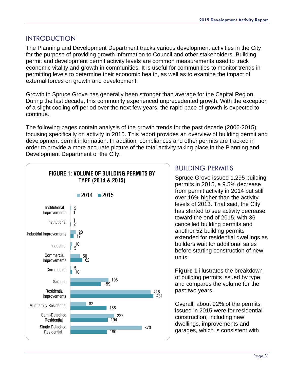#### <span id="page-2-0"></span>INTRODUCTION

The Planning and Development Department tracks various development activities in the City for the purpose of providing growth information to Council and other stakeholders. Building permit and development permit activity levels are common measurements used to track economic vitality and growth in communities. It is useful for communities to monitor trends in permitting levels to determine their economic health, as well as to examine the impact of external forces on growth and development.

Growth in Spruce Grove has generally been stronger than average for the Capital Region. During the last decade, this community experienced unprecedented growth. With the exception of a slight cooling off period over the next few years, the rapid pace of growth is expected to continue.

The following pages contain analysis of the growth trends for the past decade (2006-2015), focusing specifically on activity in 2015. This report provides an overview of building permit and development permit information. In addition, compliances and other permits are tracked in order to provide a more accurate picture of the total activity taking place in the Planning and Development Department of the City.



# <span id="page-2-1"></span>BUILDING PERMITS

Spruce Grove issued 1,295 building permits in 2015, a 9.5% decrease from permit activity in 2014 but still over 16% higher than the activity levels of 2013. That said, the City has started to see activity decrease toward the end of 2015, with 36 cancelled building permits and another 52 building permits extended for residential dwellings as builders wait for additional sales before starting construction of new units.

**Figure 1** illustrates the breakdown of building permits issued by type, and compares the volume for the past two years.

Overall, about 92% of the permits issued in 2015 were for residential construction, including new dwellings, improvements and 190 **garages, which is consistent with**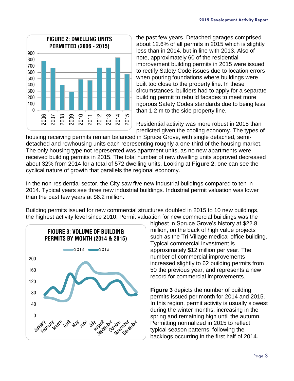

the past few years. Detached garages comprised about 12.6% of all permits in 2015 which is slightly less than in 2014, but in line with 2013. Also of note, approximately 60 of the residential improvement building permits in 2015 were issued to rectify Safety Code issues due to location errors when pouring foundations where buildings were built too close to the property line. In these circumstances, builders had to apply for a separate building permit to rebuild facades to meet more rigorous Safety Codes standards due to being less than 1.2 m to the side property line.

Residential activity was more robust in 2015 than predicted given the cooling economy. The types of

housing receiving permits remain balanced in Spruce Grove, with single detached, semidetached and rowhousing units each representing roughly a one-third of the housing market. The only housing type not represented was apartment units, as no new apartments were received building permits in 2015. The total number of new dwelling units approved decreased about 32% from 2014 for a total of 572 dwelling units. Looking at **Figure 2**, one can see the cyclical nature of growth that parallels the regional economy.

In the non-residential sector, the City saw five new industrial buildings compared to ten in 2014. Typical years see three new industrial buildings. Industrial permit valuation was lower than the past few years at \$6.2 million.

Building permits issued for new commercial structures doubled in 2015 to 10 new buildings, the highest activity level since 2010. Permit valuation for new commercial buildings was the



highest in Spruce Grove's history at \$22.8 million, on the back of high value projects such as the Tri-Village medical office building. Typical commercial investment is approximately \$12 million per year. The number of commercial improvements increased slightly to 62 building permits from 50 the previous year, and represents a new record for commercial improvements.

**Figure 3** depicts the number of building permits issued per month for 2014 and 2015. In this region, permit activity is usually slowest during the winter months, increasing in the spring and remaining high until the autumn. Permitting normalized in 2015 to reflect typical season patterns, following the backlogs occurring in the first half of 2014.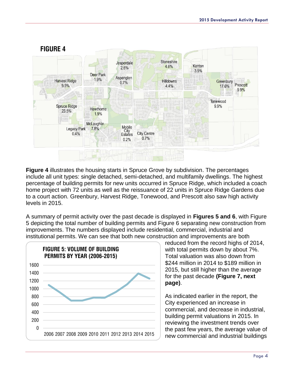

**Figure 4** illustrates the housing starts in Spruce Grove by subdivision. The percentages include all unit types: single detached, semi-detached, and multifamily dwellings. The highest percentage of building permits for new units occurred in Spruce Ridge, which included a coach home project with 72 units as well as the reissuance of 22 units in Spruce Ridge Gardens due to a court action. Greenbury, Harvest Ridge, Tonewood, and Prescott also saw high activity levels in 2015.

A summary of permit activity over the past decade is displayed in **Figures 5 and 6**, with Figure 5 depicting the total number of building permits and Figure 6 separating new construction from improvements. The numbers displayed include residential, commercial, industrial and institutional permits. We can see that both new construction and improvements are both



reduced from the record highs of 2014, with total permits down by about 7%. Total valuation was also down from \$244 million in 2014 to \$189 million in 2015, but still higher than the average for the past decade **(Figure 7, next page)**.

As indicated earlier in the report, the City experienced an increase in commercial, and decrease in industrial, building permit valuations in 2015. In reviewing the investment trends over the past few years, the average value of new commercial and industrial buildings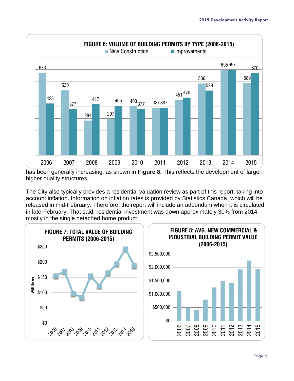

has been generally increasing, as shown in **Figure 8.** This reflects the development of larger, higher quality structures.

The City also typically provides a residential valuation review as part of this report, taking into account inflation. Information on inflation rates is provided by Statistics Canada, which will be released in mid-February. Therefore, the report will include an addendum when it is circulated in late-February. That said, residential investment was down approximately 30% from 2014, mostly in the single detached home product.

<span id="page-5-0"></span>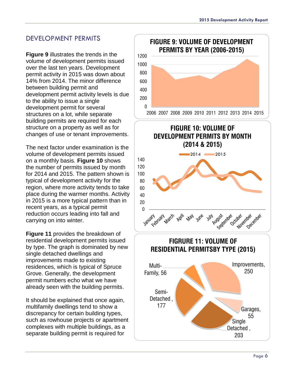#### DEVELOPMENT PERMITS

**Figure 9** illustrates the trends in the volume of development permits issued over the last ten years. Development permit activity in 2015 was down about 14% from 2014. The minor difference between building permit and development permit activity levels is due to the ability to issue a single development permit for several structures on a lot, while separate building permits are required for each structure on a property as well as for changes of use or tenant improvements.

The next factor under examination is the volume of development permits issued on a monthly basis. **Figure 10** shows the number of permits issued by month for 2014 and 2015. The pattern shown is typical of development activity for the region, where more activity tends to take place during the warmer months. Activity in 2015 is a more typical pattern than in recent years, as a typical permit reduction occurs leading into fall and carrying on into winter.

**Figure 11** provides the breakdown of residential development permits issued by type. The graph is dominated by new single detached dwellings and improvements made to existing residences, which is typical of Spruce Grove. Generally, the development permit numbers echo what we have already seen with the building permits.

It should be explained that once again, multifamily dwellings tend to show a discrepancy for certain building types, such as rowhouse projects or apartment complexes with multiple buildings, as a separate building permit is required for



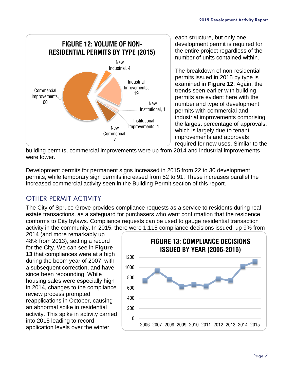

each structure, but only one development permit is required for the entire project regardless of the number of units contained within.

The breakdown of non-residential permits issued in 2015 by type is examined in **Figure 12**. Again, the trends seen earlier with building permits are evident here with the number and type of development permits with commercial and industrial improvements comprising the largest percentage of approvals, which is largely due to tenant improvements and approvals required for new uses. Similar to the

building permits, commercial improvements were up from 2014 and industrial improvements were lower.

Development permits for permanent signs increased in 2015 from 22 to 30 development permits, while temporary sign permits increased from 52 to 91. These increases parallel the increased commercial activity seen in the Building Permit section of this report.

# <span id="page-7-0"></span>OTHER PERMIT ACTIVITY

The City of Spruce Grove provides compliance requests as a service to residents during real estate transactions, as a safeguard for purchasers who want confirmation that the residence conforms to City bylaws. Compliance requests can be used to gauge residential transaction activity in the community. In 2015, there were 1,115 compliance decisions issued, up 9% from

2014 (and more remarkably up 48% from 2013), setting a record for the City. We can see in **Figure 13** that compliances were at a high during the boom year of 2007, with a subsequent correction, and have since been rebounding. While housing sales were especially high in 2014, changes to the compliance review process prompted reapplications in October, causing an abnormal spike in residential activity. This spike in activity carried into 2015 leading to record application levels over the winter.

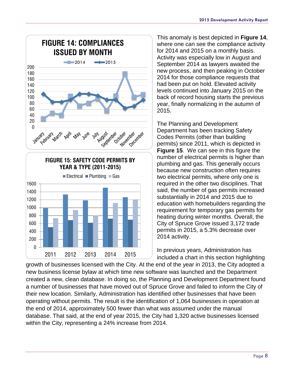



This anomaly is best depicted in **Figure 14**, where one can see the compliance activity for 2014 and 2015 on a monthly basis. Activity was especially low in August and September 2014 as lawyers awaited the new process, and then peaking in October 2014 for those compliance requests that had been put on hold. Elevated activity levels continued into January 2015 on the back of record housing starts the previous year, finally normalizing in the autumn of 2015.

The Planning and Development Department has been tracking Safety Codes Permits (other than building permits) since 2011, which is depicted in **Figure 15**. We can see in this figure the number of electrical permits is higher than plumbing and gas. This generally occurs because new construction often requires two electrical permits, where only one is required in the other two disciplines. That said, the number of gas permits increased substantially in 2014 and 2015 due to education with homebuilders regarding the requirement for temporary gas permits for heating during winter months. Overall, the City of Spruce Grove issued 3,172 trade permits in 2015, a 5.3% decrease over 2014 activity.

In previous years, Administration has included a chart in this section highlighting

growth of businesses licensed with the City. At the end of the year in 2013, the City adopted a new business license bylaw at which time new software was launched and the Department created a new, clean database. In doing so, the Planning and Development Department found a number of businesses that have moved out of Spruce Grove and failed to inform the City of their new location. Similarly, Administration has identified other businesses that have been operating without permits. The result is the identification of 1,064 businesses in operation at the end of 2014, approximately 500 fewer than what was assumed under the manual database. That said, at the end of year 2015, the City had 1,320 active businesses licensed within the City, representing a 24% increase from 2014.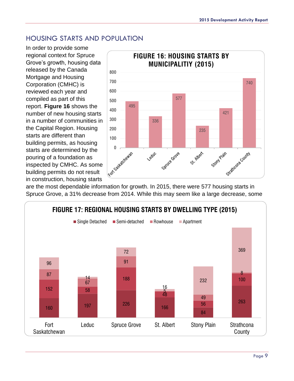#### <span id="page-9-0"></span>HOUSING STARTS AND POPULATION

In order to provide some regional context for Spruce Grove's growth, housing data released by the Canada Mortgage and Housing Corporation (CMHC) is reviewed each year and compiled as part of this report. **Figure 16** shows the number of new housing starts in a number of communities in the Capital Region. Housing starts are different than building permits, as housing starts are determined by the pouring of a foundation as inspected by CMHC. As some building permits do not result in construction, housing starts



are the most dependable information for growth. In 2015, there were 577 housing starts in Spruce Grove, a 31% decrease from 2014. While this may seem like a large decrease, some